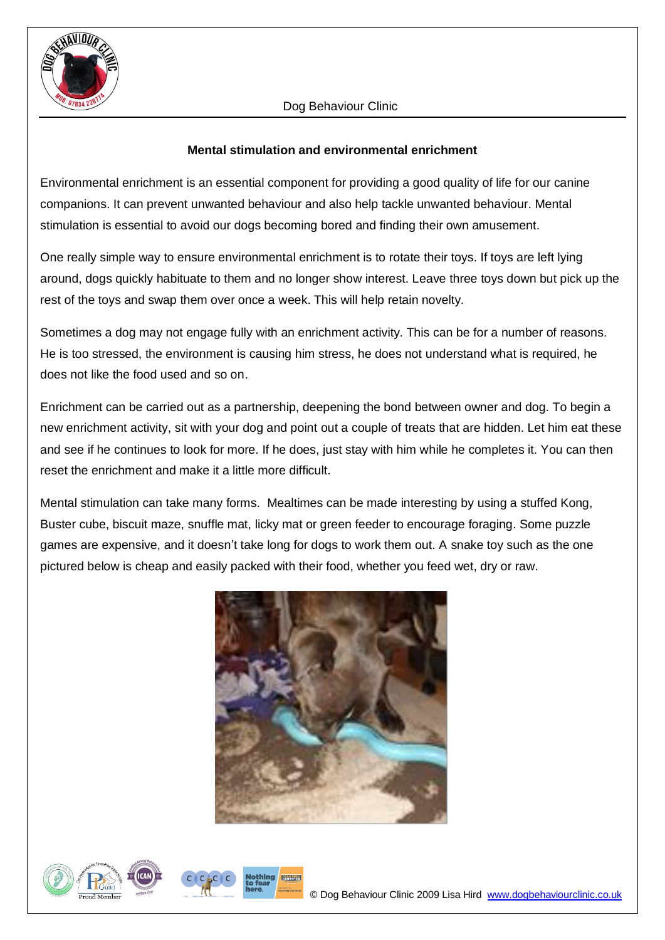

### **Mental stimulation and environmental enrichment**

Environmental enrichment is an essential component for providing a good quality of life for our canine companions. It can prevent unwanted behaviour and also help tackle unwanted behaviour. Mental stimulation is essential to avoid our dogs becoming bored and finding their own amusement.

One really simple way to ensure environmental enrichment is to rotate their toys. If toys are left lying around, dogs quickly habituate to them and no longer show interest. Leave three toys down but pick up the rest of the toys and swap them over once a week. This will help retain novelty.

Sometimes a dog may not engage fully with an enrichment activity. This can be for a number of reasons. He is too stressed, the environment is causing him stress, he does not understand what is required, he does not like the food used and so on.

Enrichment can be carried out as a partnership, deepening the bond between owner and dog. To begin a new enrichment activity, sit with your dog and point out a couple of treats that are hidden. Let him eat these and see if he continues to look for more. If he does, just stay with him while he completes it. You can then reset the enrichment and make it a little more difficult.

Mental stimulation can take many forms. Mealtimes can be made interesting by using a stuffed Kong, Buster cube, biscuit maze, snuffle mat, licky mat or green feeder to encourage foraging. Some puzzle games are expensive, and it doesn't take long for dogs to work them out. A snake toy such as the one pictured below is cheap and easily packed with their food, whether you feed wet, dry or raw.



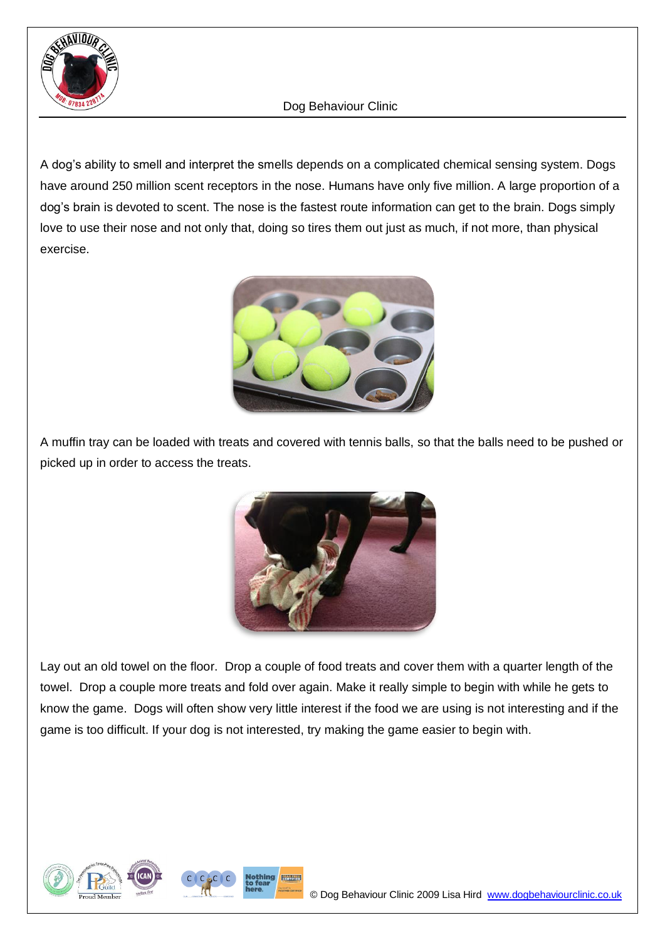

A dog's ability to smell and interpret the smells depends on a complicated chemical sensing system. Dogs have around 250 million scent receptors in the nose. Humans have only five million. A large proportion of a dog's brain is devoted to scent. The nose is the fastest route information can get to the brain. Dogs simply love to use their nose and not only that, doing so tires them out just as much, if not more, than physical exercise.



A muffin tray can be loaded with treats and covered with tennis balls, so that the balls need to be pushed or picked up in order to access the treats.



Lay out an old towel on the floor. Drop a couple of food treats and cover them with a quarter length of the towel. Drop a couple more treats and fold over again. Make it really simple to begin with while he gets to know the game. Dogs will often show very little interest if the food we are using is not interesting and if the game is too difficult. If your dog is not interested, try making the game easier to begin with.

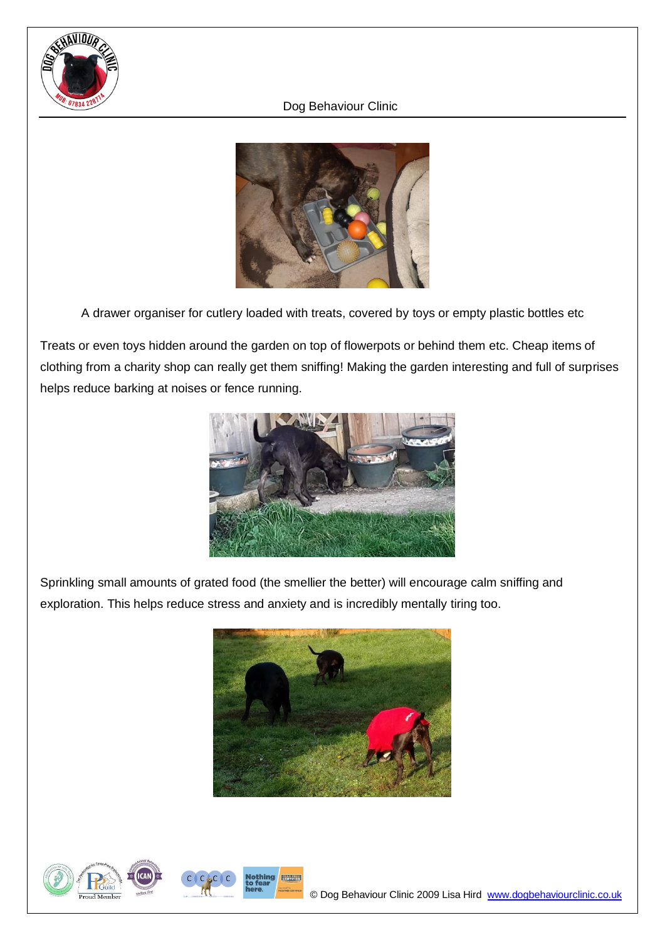



A drawer organiser for cutlery loaded with treats, covered by toys or empty plastic bottles etc

Treats or even toys hidden around the garden on top of flowerpots or behind them etc. Cheap items of clothing from a charity shop can really get them sniffing! Making the garden interesting and full of surprises helps reduce barking at noises or fence running.



Sprinkling small amounts of grated food (the smellier the better) will encourage calm sniffing and exploration. This helps reduce stress and anxiety and is incredibly mentally tiring too.



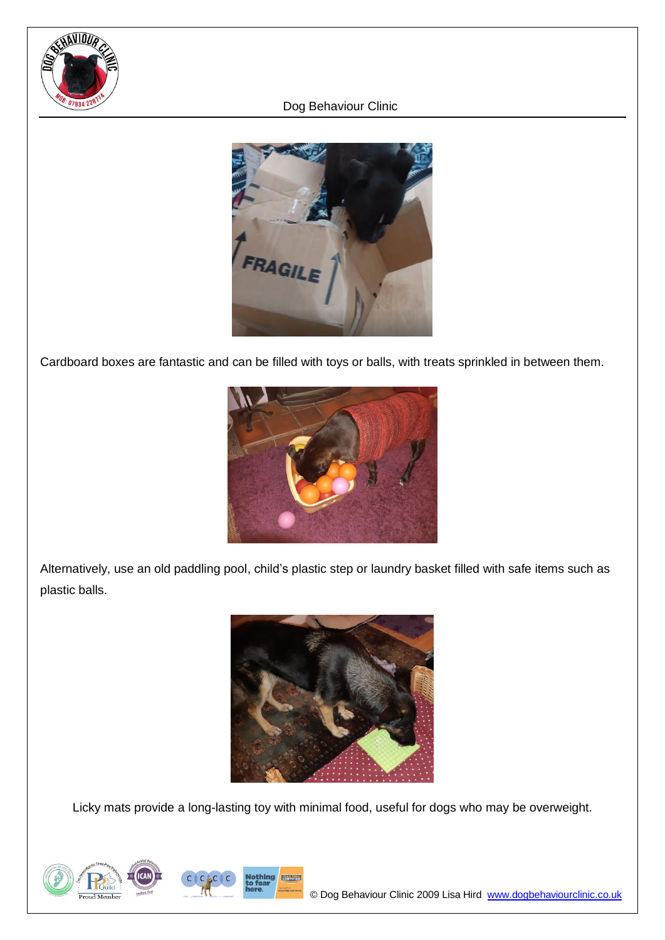



Cardboard boxes are fantastic and can be filled with toys or balls, with treats sprinkled in between them.



Alternatively, use an old paddling pool, child's plastic step or laundry basket filled with safe items such as plastic balls.



Licky mats provide a long-lasting toy with minimal food, useful for dogs who may be overweight.